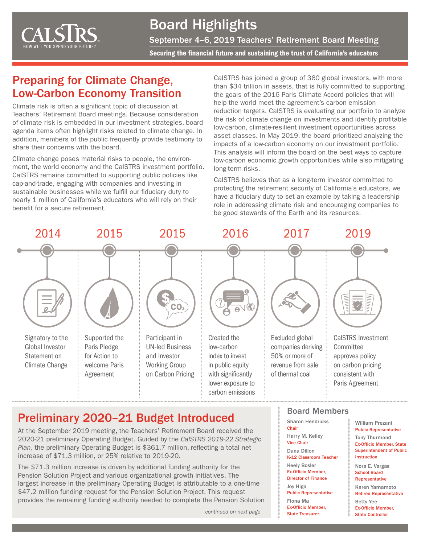

# Board Highlights

September 4–6, 2019 Teachers' Retirement Board Meeting

Securing the financial future and sustaining the trust of California's educators

#### Preparing for Climate Change, Low-Carbon Economy Transition

Climate risk is often a significant topic of discussion at Teachers' Retirement Board meetings. Because consideration of climate risk is embedded in our investment strategies, board agenda items often highlight risks related to climate change. In addition, members of the public frequently provide testimony to share their concerns with the board.

Climate change poses material risks to people, the environment, the world economy and the CalSTRS investment portfolio. CalSTRS remains committed to supporting public policies like cap-and-trade, engaging with companies and investing in sustainable businesses while we fulfill our fiduciary duty to nearly 1 million of California's educators who will rely on their benefit for a secure retirement.

CalSTRS has joined a group of 360 global investors, with more than \$34 trillion in assets, that is fully committed to supporting the goals of the 2016 Paris Climate Accord policies that will help the world meet the agreement's carbon emission reduction targets. CalSTRS is evaluating our portfolio to analyze the risk of climate change on investments and identify profitable low-carbon, climate-resilient investment opportunities across asset classes. In May 2019, the board prioritized analyzing the impacts of a low-carbon economy on our investment portfolio. This analysis will inform the board on the best ways to capture low-carbon economic growth opportunities while also mitigating long-term risks.

CalSTRS believes that as a long-term investor committed to protecting the retirement security of California's educators, we have a fiduciary duty to set an example by taking a leadership role in addressing climate risk and encouraging companies to be good stewards of the Earth and its resources.



## Preliminary 2020–21 Budget Introduced

At the September 2019 meeting, the Teachers' Retirement Board received the 2020-21 preliminary Operating Budget. Guided by the *CalSTRS 2019-22 Strategic Plan*, the preliminary Operating Budget is \$361.7 million, reflecting a total net increase of \$71.3 million, or 25% relative to 2019-20.

The \$71.3 million increase is driven by additional funding authority for the Pension Solution Project and various organizational growth initiatives. The largest increase in the preliminary Operating Budget is attributable to a one-time \$47.2 million funding request for the Pension Solution Project. This request provides the remaining funding authority needed to complete the Pension Solution

*continued on next page*

#### Board Members

Sharon Hendricks **Chair** Harry M. Keiley Vice Chair Dana Dillon K-12 Classroom Teacher Keely Bosler Ex-Officio Member, Director of Finance Joy Higa Public Representative Fiona Ma Ex-Officio Member, State Treasurer

William Prezant Public Representative Tony Thurmond Ex-Officio Member, State Superintendent of Public **Instruction** 

Nora E. Vargas School Board Representative Karen Yamamoto Retiree Representative Betty Yee Ex-Officio Member, State Controller